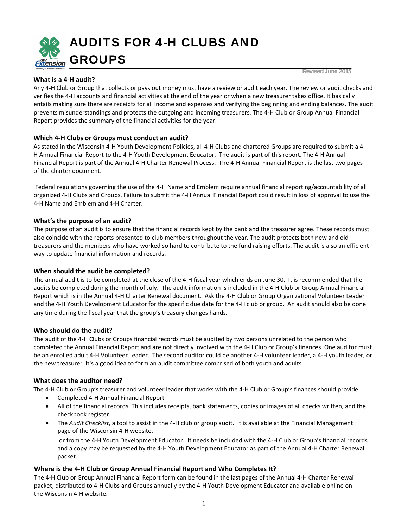

# **What is a 4‐H audit?**

**Revised June 2015**

Any 4‐H Club or Group that collects or pays out money must have a review or audit each year. The review or audit checks and verifies the 4‐H accounts and financial activities at the end of the year or when a new treasurer takes office. It basically entails making sure there are receipts for all income and expenses and verifying the beginning and ending balances. The audit prevents misunderstandings and protects the outgoing and incoming treasurers. The 4‐H Club or Group Annual Financial Report provides the summary of the financial activities for the year.

# **Which 4‐H Clubs or Groups must conduct an audit?**

As stated in the Wisconsin 4‐H Youth Development Policies, all 4‐H Clubs and chartered Groups are required to submit a 4‐ H Annual Financial Report to the 4‐H Youth Development Educator. The audit is part of this report. The 4‐H Annual Financial Report is part of the Annual 4‐H Charter Renewal Process. The 4‐H Annual Financial Report is the last two pages of the charter document.

Federal regulations governing the use of the 4-H Name and Emblem require annual financial reporting/accountability of all organized 4‐H Clubs and Groups. Failure to submit the 4‐H Annual Financial Report could result in loss of approval to use the 4‐H Name and Emblem and 4‐H Charter.

# **What's the purpose of an audit?**

The purpose of an audit is to ensure that the financial records kept by the bank and the treasurer agree. These records must also coincide with the reports presented to club members throughout the year. The audit protects both new and old treasurers and the members who have worked so hard to contribute to the fund raising efforts. The audit is also an efficient way to update financial information and records.

### **When should the audit be completed?**

The annual audit is to be completed at the close of the 4‐H fiscal year which ends on June 30. It is recommended that the audits be completed during the month of July. The audit information is included in the 4‐H Club or Group Annual Financial Report which is in the Annual 4‐H Charter Renewal document. Ask the 4‐H Club or Group Organizational Volunteer Leader and the 4‐H Youth Development Educator for the specific due date for the 4‐H club or group. An audit should also be done any time during the fiscal year that the group's treasury changes hands.

### **Who should do the audit?**

The audit of the 4‐H Clubs or Groups financial records must be audited by two persons unrelated to the person who completed the Annual Financial Report and are not directly involved with the 4‐H Club or Group's finances. One auditor must be an enrolled adult 4‐H Volunteer Leader. The second auditor could be another 4‐H volunteer leader, a 4‐H youth leader, or the new treasurer. It's a good idea to form an audit committee comprised of both youth and adults.

# **What does the auditor need?**

The 4‐H Club or Group's treasurer and volunteer leader that works with the 4‐H Club or Group's finances should provide:

- Completed 4‐H Annual Financial Report
- All of the financial records. This includes receipts, bank statements, copies or images of all checks written, and the checkbook register.
- The *Audit Checklist*, a tool to assist in the 4‐H club or group audit. It is available at the Financial Management page of the Wisconsin 4-H website.

or from the 4‐H Youth Development Educator. It needs be included with the 4‐H Club or Group's financial records and a copy may be requested by the 4‐H Youth Development Educator as part of the Annual 4‐H Charter Renewal packet.

# **Where is the 4‐H Club or Group Annual Financial Report and Who Completes It?**

The 4‐H Club or Group Annual Financial Report form can be found in the last pages of the Annual 4‐H Charter Renewal packet, distributed to 4‐H Clubs and Groups [annually](http://www.uwex.edu/ces/4h/clubs/index.cfm) by the 4‐H Youth Development Educator and available online on the Wisconsin 4-H website.